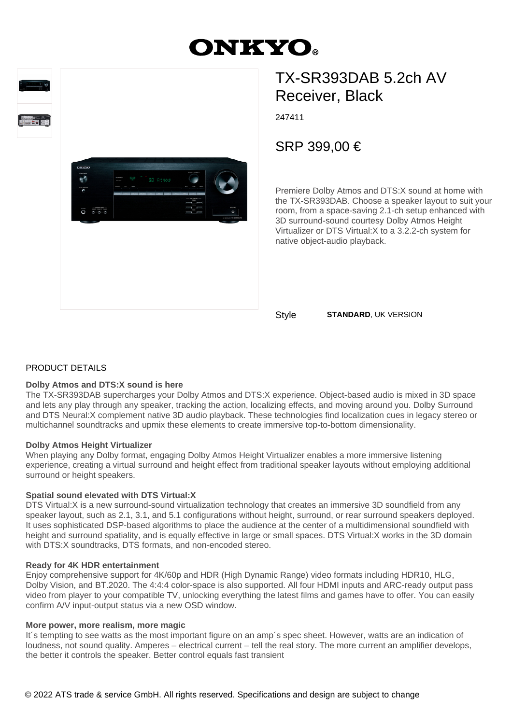# **ONKYO.**





# TX-SR393DAB 5.2ch AV Receiver, Black

247411

SRP 399,00 €

Premiere Dolby Atmos and DTS:X sound at home with the TX-SR393DAB. Choose a speaker layout to suit your room, from a space-saving 2.1-ch setup enhanced with 3D surround-sound courtesy Dolby Atmos Height Virtualizer or DTS Virtual:X to a 3.2.2-ch system for native object-audio playback.

Style **STANDARD**, UK VERSION

# PRODUCT DETAILS

#### **Dolby Atmos and DTS:X sound is here**

The TX-SR393DAB supercharges your Dolby Atmos and DTS:X experience. Object-based audio is mixed in 3D space and lets any play through any speaker, tracking the action, localizing effects, and moving around you. Dolby Surround and DTS Neural:X complement native 3D audio playback. These technologies find localization cues in legacy stereo or multichannel soundtracks and upmix these elements to create immersive top-to-bottom dimensionality.

#### **Dolby Atmos Height Virtualizer**

When playing any Dolby format, engaging Dolby Atmos Height Virtualizer enables a more immersive listening experience, creating a virtual surround and height effect from traditional speaker layouts without employing additional surround or height speakers.

# **Spatial sound elevated with DTS Virtual:X**

DTS Virtual:X is a new surround-sound virtualization technology that creates an immersive 3D soundfield from any speaker layout, such as 2.1, 3.1, and 5.1 configurations without height, surround, or rear surround speakers deployed. It uses sophisticated DSP-based algorithms to place the audience at the center of a multidimensional soundfield with height and surround spatiality, and is equally effective in large or small spaces. DTS Virtual:X works in the 3D domain with DTS:X soundtracks, DTS formats, and non-encoded stereo.

# **Ready for 4K HDR entertainment**

Enjoy comprehensive support for 4K/60p and HDR (High Dynamic Range) video formats including HDR10, HLG, Dolby Vision, and BT.2020. The 4:4:4 color-space is also supported. All four HDMI inputs and ARC-ready output pass video from player to your compatible TV, unlocking everything the latest films and games have to offer. You can easily confirm A/V input-output status via a new OSD window.

# **More power, more realism, more magic**

It's tempting to see watts as the most important figure on an amp's spec sheet. However, watts are an indication of loudness, not sound quality. Amperes – electrical current – tell the real story. The more current an amplifier develops, the better it controls the speaker. Better control equals fast transient